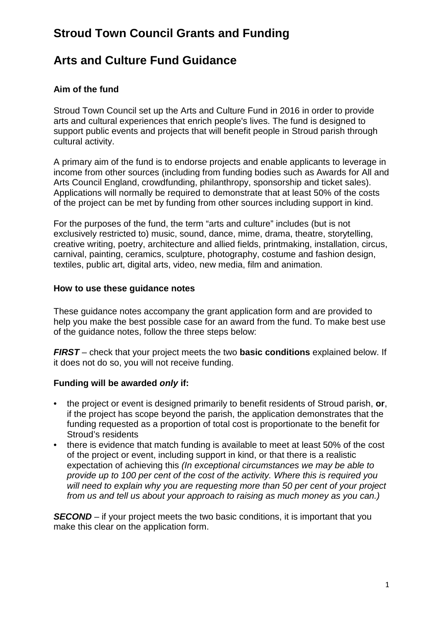# **Stroud Town Council Grants and Funding**

# **Arts and Culture Fund Guidance**

## **Aim of the fund**

Stroud Town Council set up the Arts and Culture Fund in 2016 in order to provide arts and cultural experiences that enrich people's lives. The fund is designed to support public events and projects that will benefit people in Stroud parish through cultural activity.

A primary aim of the fund is to endorse projects and enable applicants to leverage in income from other sources (including from funding bodies such as Awards for All and Arts Council England, crowdfunding, philanthropy, sponsorship and ticket sales). Applications will normally be required to demonstrate that at least 50% of the costs of the project can be met by funding from other sources including support in kind.

For the purposes of the fund, the term "arts and culture" includes (but is not exclusively restricted to) music, sound, dance, mime, drama, theatre, storytelling, creative writing, poetry, architecture and allied fields, printmaking, installation, circus, carnival, painting, ceramics, sculpture, photography, costume and fashion design, textiles, public art, digital arts, video, new media, film and animation.

#### **How to use these guidance notes**

These guidance notes accompany the grant application form and are provided to help you make the best possible case for an award from the fund. To make best use of the guidance notes, follow the three steps below:

*FIRST* – check that your project meets the two **basic conditions** explained below. If it does not do so, you will not receive funding.

### **Funding will be awarded** *only* **if:**

- the project or event is designed primarily to benefit residents of Stroud parish, **or**, if the project has scope beyond the parish, the application demonstrates that the funding requested as a proportion of total cost is proportionate to the benefit for Stroud's residents
- there is evidence that match funding is available to meet at least 50% of the cost of the project or event, including support in kind, or that there is a realistic expectation of achieving this *(In exceptional circumstances we may be able to provide up to 100 per cent of the cost of the activity. Where this is required you will need to explain why you are requesting more than 50 per cent of your project from us and tell us about your approach to raising as much money as you can.)*

**SECOND** – if your project meets the two basic conditions, it is important that you make this clear on the application form.